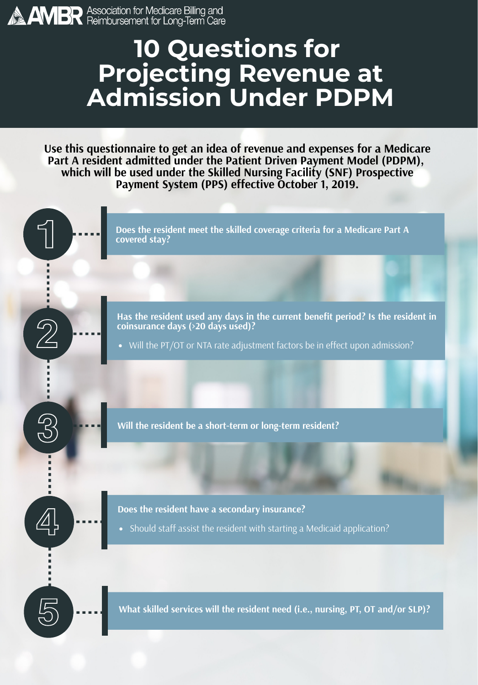

# **10 Questions for Projecting Revenue at Admission Under PDPM**

**Does the resident meet the skilled coverage criteria for <sup>a</sup> Medicare Part <sup>A</sup> covered stay?**



**Has the resident used any days in the current benefit period? Is the resident in coinsurance days (>20 days used)?**

Will the PT/OT or NTA rate adjustment factors be in effect upon admission?

**Use this questionnaire to get an idea of revenue and expenses for a Medicare Part A resident admitted under the Patient Driven Payment Model (PDPM), which will be used under the Skilled Nursing Facility (SNF) Prospective Payment System (PPS) effective October 1, 2019.**

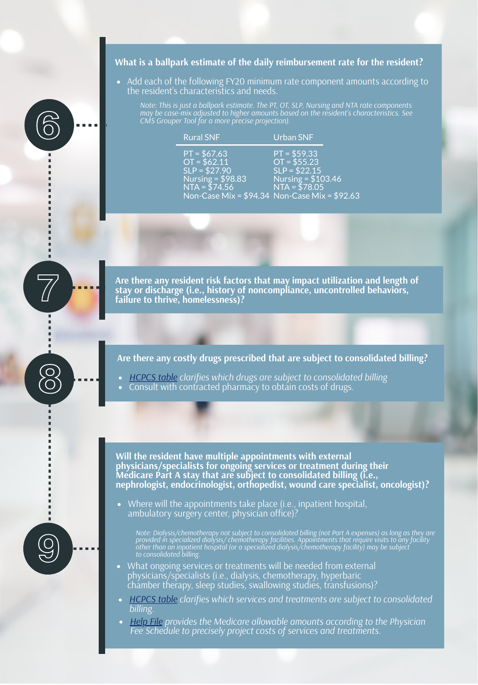#### **What is a ballpark estimate of the daily reimbursement rate for the resident?**

Add each of the following FY20 minimum rate component amounts according to the resident's characteristics and needs.



**Are there any costly drugs prescribed that are subject to [consolidated](https://www.cms.gov/Medicare/Billing/SNFConsolidatedBilling/2019-Part-A-MAC-Update.html) billing?**

- *HCPCS table clarifies which drugs are subject to consolidated billing*
- Consult with contracted pharmacy to obtain costs of drugs.

*Note: This is just a ballpark estimate. The PT, OT, SLP, Nursing and NTA rate components may be case-mix adjusted to higher amounts based on the resident's characteristics. See CMS Grouper Tool for a more precise projection).*

**Will the resident have multiple appointments with external physicians/specialists for ongoing services or treatment during their Medicare Part A stay that are subject to consolidated billing (i.e., nephrologist, endocrinologist, orthopedist, wound care specialist, oncologist)?**

Where will the appointments take place (i.e., inpatient hospital, ambulatory surgery center, physician office)?

*Note: Dialysis/chemotherapy not subject to consolidated billing (not Part A expenses) as long as they are provided in specialized dialysis/ chemotherapy facilities. Appointments that require visits to any facility other than an inpatient hospital (or a specialized dialysis/chemotherapy facility) may be subject to consolidated billing.*

- What ongoing services or treatments will be needed from external physicians/specialists (i.e., dialysis, chemotherapy, hyperbaric chamber therapy, sleep studies, swallowing studies, transfusions)?
- *HCPCS table clarifies which services and treatments are subject to [consolidated](https://www.cms.gov/Medicare/Billing/SNFConsolidatedBilling/2019-Part-A-MAC-Update.html) billing.*
- *Help File provides the Medicare allowable amounts according to the Physician Fee Schedule to precisely project costs of services and [treatments.](https://www.cms.gov/apps/physician-fee-schedule/overview.aspx)*

| <b>Rural SNF</b>                                                                        | <b>Urban SNF</b>                                                                                     |
|-----------------------------------------------------------------------------------------|------------------------------------------------------------------------------------------------------|
| $PT = $67.63$<br>$OT = $62.11$<br>$SLP = $27.90$<br>Nursing = \$98.83<br>$NTA = $74.56$ | $PT = $59.33$<br>$OT = $55.23$<br>$SLP = $22.15$<br>Nursing = $$103.46$<br>$\overline{NTA} = $78.05$ |
| Non-Case Mix = $$94.34$ Non-Case Mix = $$92.63$                                         |                                                                                                      |